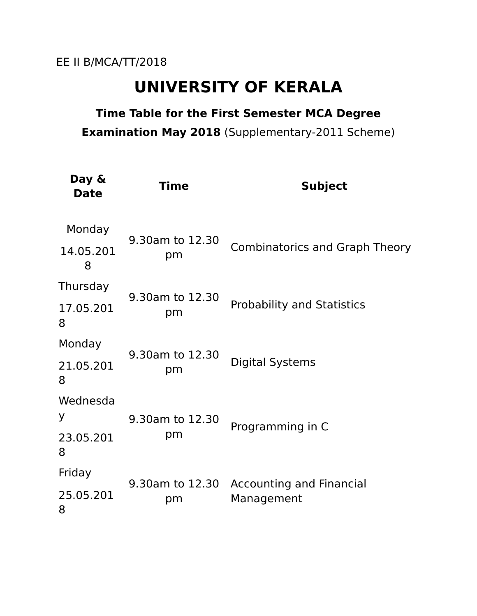## **UNIVERSITY OF KERALA**

### **Time Table for the First Semester MCA Degree Examination May 2018** (Supplementary-2011 Scheme)

| Day &<br><b>Date</b> | <b>Time</b>           | <b>Subject</b>                                |
|----------------------|-----------------------|-----------------------------------------------|
| Monday               | 9.30am to 12.30<br>pm | <b>Combinatorics and Graph Theory</b>         |
| 14.05.201<br>8       |                       |                                               |
| Thursday             | 9.30am to 12.30<br>pm | <b>Probability and Statistics</b>             |
| 17.05.201<br>8       |                       |                                               |
| Monday               | 9.30am to 12.30<br>pm | <b>Digital Systems</b>                        |
| 21.05.201<br>8       |                       |                                               |
| Wednesda             |                       | Programming in C                              |
| У                    | 9.30am to 12.30       |                                               |
| 23.05.201<br>8       | pm                    |                                               |
| Friday               |                       | <b>Accounting and Financial</b><br>Management |
| 25.05.201<br>8       | 9.30am to 12.30<br>pm |                                               |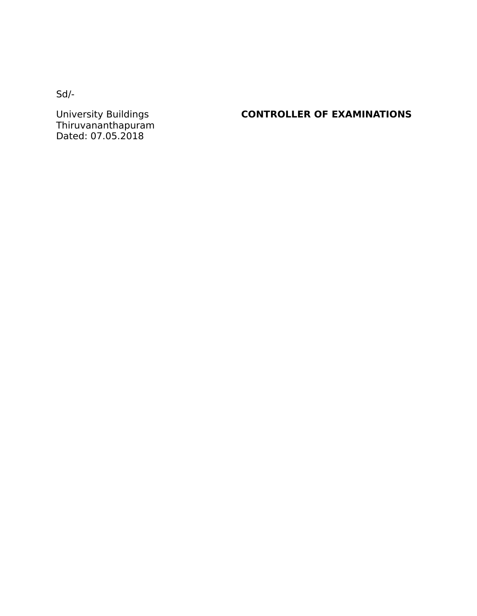Sd/-

Thiruvananthapuram Dated: 07.05.2018

#### **CONTROLLER OF EXAMINATIONS**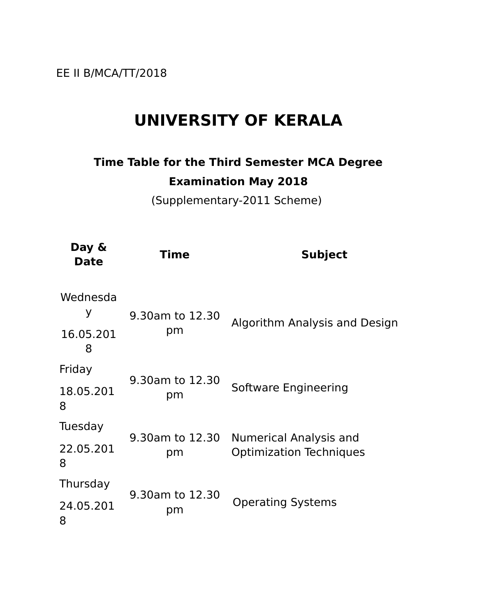EE II B/MCA/TT/2018

## **UNIVERSITY OF KERALA**

### **Time Table for the Third Semester MCA Degree Examination May 2018**

(Supplementary-2011 Scheme)

| Day &<br><b>Date</b>            | <b>Time</b>           | <b>Subject</b>                                           |
|---------------------------------|-----------------------|----------------------------------------------------------|
| Wednesda<br>У<br>16.05.201<br>8 | 9.30am to 12.30<br>pm | Algorithm Analysis and Design                            |
| Friday                          | 9.30am to 12.30<br>рm | Software Engineering                                     |
| 18.05.201<br>8                  |                       |                                                          |
| Tuesday                         | 9.30am to 12.30<br>pm | Numerical Analysis and<br><b>Optimization Techniques</b> |
| 22.05.201<br>8                  |                       |                                                          |
| Thursday                        |                       | <b>Operating Systems</b>                                 |
| 24.05.201<br>8                  | 9.30am to 12.30<br>рm |                                                          |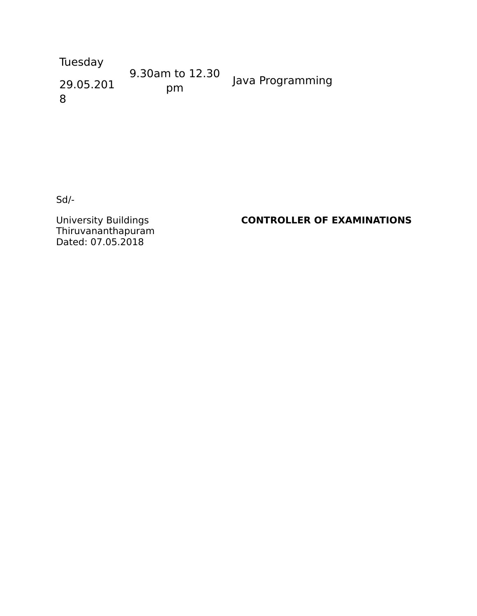Tuesday 29.05.201 8 9.30am to 12.30 pm Java Programming

Sd/-

University Buildings<br>Thiruvananthapuram Dated: 07.05.2018

#### **CONTROLLER OF EXAMINATIONS**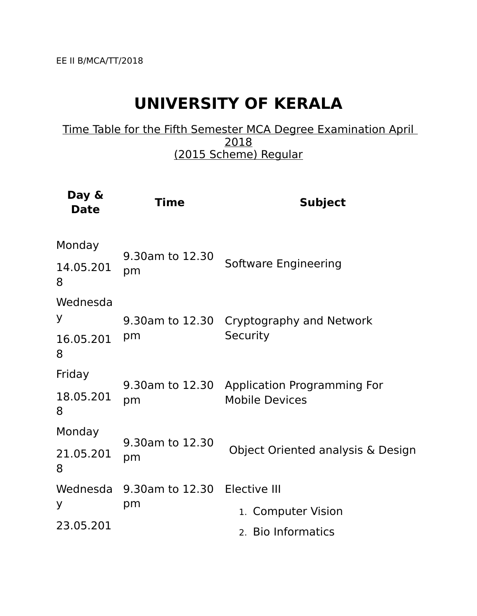# **UNIVERSITY OF KERALA**

Time Table for the Fifth Semester MCA Degree Examination April 2018 (2015 Scheme) Regular

| Day &<br><b>Date</b> | <b>Time</b>                        | <b>Subject</b>                                                       |
|----------------------|------------------------------------|----------------------------------------------------------------------|
| Monday               | 9.30am to 12.30<br>pm              | Software Engineering                                                 |
| 14.05.201<br>8       |                                    |                                                                      |
| Wednesda<br>У        | pm                                 | 9.30am to 12.30 Cryptography and Network<br>Security                 |
| 16.05.201<br>8       |                                    |                                                                      |
| Friday               | pm                                 | 9.30am to 12.30 Application Programming For<br><b>Mobile Devices</b> |
| 18.05.201<br>8       |                                    |                                                                      |
| Monday               |                                    | Object Oriented analysis & Design                                    |
| 21.05.201<br>8       | 9.30am to 12.30<br>pm              |                                                                      |
| Wednesda             | 9.30am to 12.30 Elective III<br>pm |                                                                      |
| У                    |                                    | 1. Computer Vision                                                   |
| 23.05.201            |                                    | 2. Bio Informatics                                                   |